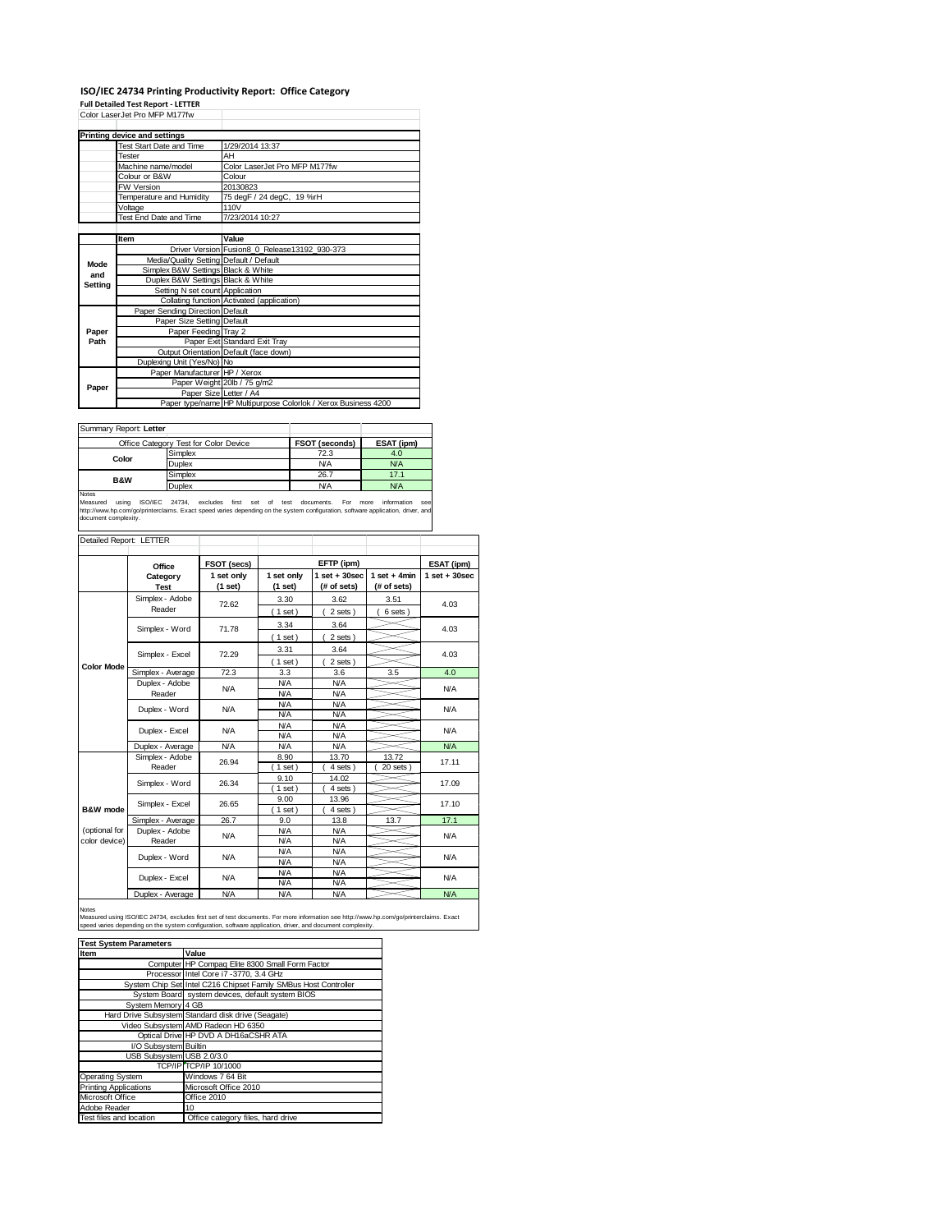## **ISO/IEC 24734 Printing Productivity Report: Office Category**

**Full Detailed Test Report ‐ LETTER** Color LaserJet Pro MFP M177fw

|         | Color LaserJet Pro MFP M177tw           |                                                                |
|---------|-----------------------------------------|----------------------------------------------------------------|
|         | Printing device and settings            |                                                                |
|         | Test Start Date and Time                | 1/29/2014 13:37                                                |
|         | Tester                                  | AH                                                             |
|         | Machine name/model                      | Color LaserJet Pro MFP M177fw                                  |
|         | Colour or B&W                           | Colour                                                         |
|         | <b>FW Version</b>                       | 20130823                                                       |
|         | Temperature and Humidity                | 75 degF / 24 degC, 19 %rH                                      |
|         | Voltage                                 | 110V                                                           |
|         | Test End Date and Time                  | 7/23/2014 10:27                                                |
|         |                                         |                                                                |
|         | Item                                    | Value                                                          |
|         |                                         | Driver Version Fusion8 0 Release13192 930-373                  |
| Mode    | Media/Quality Setting Default / Default |                                                                |
| and     | Simplex B&W Settings Black & White      |                                                                |
| Setting | Duplex B&W Settings Black & White       |                                                                |
|         | Setting N set count Application         |                                                                |
|         |                                         | Collating function Activated (application)                     |
|         | Paper Sending Direction Default         |                                                                |
|         | Paper Size Setting Default              |                                                                |
| Paper   | Paper Feeding Tray 2                    |                                                                |
| Path    |                                         | Paper Exit Standard Exit Tray                                  |
|         |                                         | Output Orientation Default (face down)                         |
|         | Duplexing Unit (Yes/No) No              |                                                                |
|         | Paper Manufacturer HP / Xerox           |                                                                |
| Paper   |                                         | Paper Weight 20lb / 75 g/m2                                    |
|         | Paper Size Letter / A4                  |                                                                |
|         |                                         | Paper type/name HP Multipurpose Colorlok / Xerox Business 4200 |

Summary Report: **Letter**

| <b>OUTHER Y RODOL EGRO</b> |                                       |                |            |
|----------------------------|---------------------------------------|----------------|------------|
|                            | Office Category Test for Color Device | FSOT (seconds) | ESAT (ipm) |
|                            | Simplex                               | 72.3           | 4.0        |
| Color                      | Duplex                                | <b>N/A</b>     | <b>N/A</b> |
| <b>B&amp;W</b>             | Simplex                               | 26.7           | 17.1       |
|                            | <b>Duplex</b>                         | <b>N/A</b>     | <b>N/A</b> |
| Notes                      |                                       |                |            |

Notes<br>Measured using ISO/IEC 24734, excludes first set of test documents. For more information see<br>http://www.hp.com/go/printerclaims.Exactspeed.varies.depending.on.the.system.configuration,software.application,driver,and<br>

| Detailed Report: LETTER        |                                        |                       |                          |                                  |                               |                   |  |
|--------------------------------|----------------------------------------|-----------------------|--------------------------|----------------------------------|-------------------------------|-------------------|--|
|                                | Office                                 | FSOT (secs)           |                          | EFTP (ipm)                       |                               | ESAT (ipm)        |  |
|                                | Category<br><b>Test</b>                | 1 set only<br>(1 set) | 1 set only<br>(1 set)    | $1$ set $+30$ sec<br>(# of sets) | $1$ set + 4min<br>(# of sets) | $1$ set $+30$ sec |  |
|                                | Simplex - Adobe<br>Reader              | 72.62                 | 3.30<br>(1 set)          | 3.62<br>2 sets)                  | 3.51<br>6 sets                | 4.03              |  |
|                                | Simplex - Word                         | 71.78                 | 3.34<br>$1$ set)         | 3.64<br>2 sets)                  |                               | 4.03              |  |
|                                | Simplex - Excel                        | 72.29                 | 3.31<br>$1$ set)         | 3.64<br>2 sets)                  |                               | 4.03              |  |
| <b>Color Mode</b>              | Simplex - Average                      | 72.3                  | 3.3                      | 3.6                              | 3.5                           | 4.0               |  |
|                                | Duplex - Adobe<br><b>N/A</b><br>Reader |                       | <b>N/A</b><br><b>N/A</b> | <b>N/A</b><br><b>N/A</b>         |                               | <b>N/A</b>        |  |
|                                | Duplex - Word                          | N/A                   | <b>N/A</b><br><b>N/A</b> | <b>N/A</b><br><b>N/A</b>         |                               | <b>N/A</b>        |  |
|                                | Duplex - Excel                         | N/A                   | <b>N/A</b><br><b>N/A</b> | <b>N/A</b><br><b>N/A</b>         |                               | <b>N/A</b>        |  |
|                                | Duplex - Average                       | <b>N/A</b>            | <b>N/A</b>               | <b>N/A</b>                       |                               | <b>N/A</b>        |  |
|                                | Simplex - Adobe<br>Reader              | 26.94                 | 8.90<br>$1$ set)         | 13.70<br>4 sets)                 | 13.72<br>20 sets              | 17.11             |  |
|                                | Simplex - Word                         | 26.34                 | 9.10<br>$1$ set)         | 14.02<br>4 sets)                 |                               | 17.09             |  |
| B&W mode                       | Simplex - Excel                        | 26.65                 | 9.00<br>$1$ set)         | 13.96<br>4 sets)                 |                               | 17.10             |  |
|                                | Simplex - Average                      | 26.7                  | 9.0                      | 13.8                             | 13.7                          | 17.1              |  |
| (optional for<br>color device) | Duplex - Adobe<br>Reader               | <b>N/A</b>            | <b>N/A</b><br><b>N/A</b> | <b>N/A</b><br><b>N/A</b>         |                               | <b>N/A</b>        |  |
|                                | Duplex - Word                          | <b>N/A</b>            | <b>N/A</b><br><b>N/A</b> | <b>N/A</b><br><b>N/A</b>         |                               | <b>N/A</b>        |  |
|                                | Duplex - Excel                         | N/A                   | <b>N/A</b><br><b>N/A</b> | <b>N/A</b><br><b>N/A</b>         |                               | <b>N/A</b>        |  |
|                                | Duplex - Average                       | N/A                   | <b>N/A</b>               | <b>N/A</b>                       |                               | <b>N/A</b>        |  |

Notes<br>Measured using ISO/IEC 24734, excludes first set of test documents. For more information see http://www.hp.com/go/printerclaims. Exact<br>speed varies depending on the system configuration, software application, driver,

| <b>Test System Parameters</b> |                                                                 |  |  |  |
|-------------------------------|-----------------------------------------------------------------|--|--|--|
| Item                          | Value                                                           |  |  |  |
|                               | Computer HP Compaq Elite 8300 Small Form Factor                 |  |  |  |
|                               | Processor Intel Core i7 -3770, 3.4 GHz                          |  |  |  |
|                               | System Chip Set Intel C216 Chipset Family SMBus Host Controller |  |  |  |
|                               | System Board system devices, default system BIOS                |  |  |  |
| System Memory 4 GB            |                                                                 |  |  |  |
|                               | Hard Drive Subsystem Standard disk drive (Seagate)              |  |  |  |
|                               | Video Subsystem AMD Radeon HD 6350                              |  |  |  |
|                               | Optical Drive HP DVD A DH16aCSHR ATA                            |  |  |  |
| I/O Subsystem Builtin         |                                                                 |  |  |  |
| USB Subsystem USB 2.0/3.0     |                                                                 |  |  |  |
|                               | TCP/IP TCP/IP 10/1000                                           |  |  |  |
| Operating System              | Windows 7 64 Bit                                                |  |  |  |
| <b>Printing Applications</b>  | Microsoft Office 2010                                           |  |  |  |
| Microsoft Office              | Office 2010                                                     |  |  |  |
| Adobe Reader                  | 10                                                              |  |  |  |
| Test files and location       | Office category files, hard drive                               |  |  |  |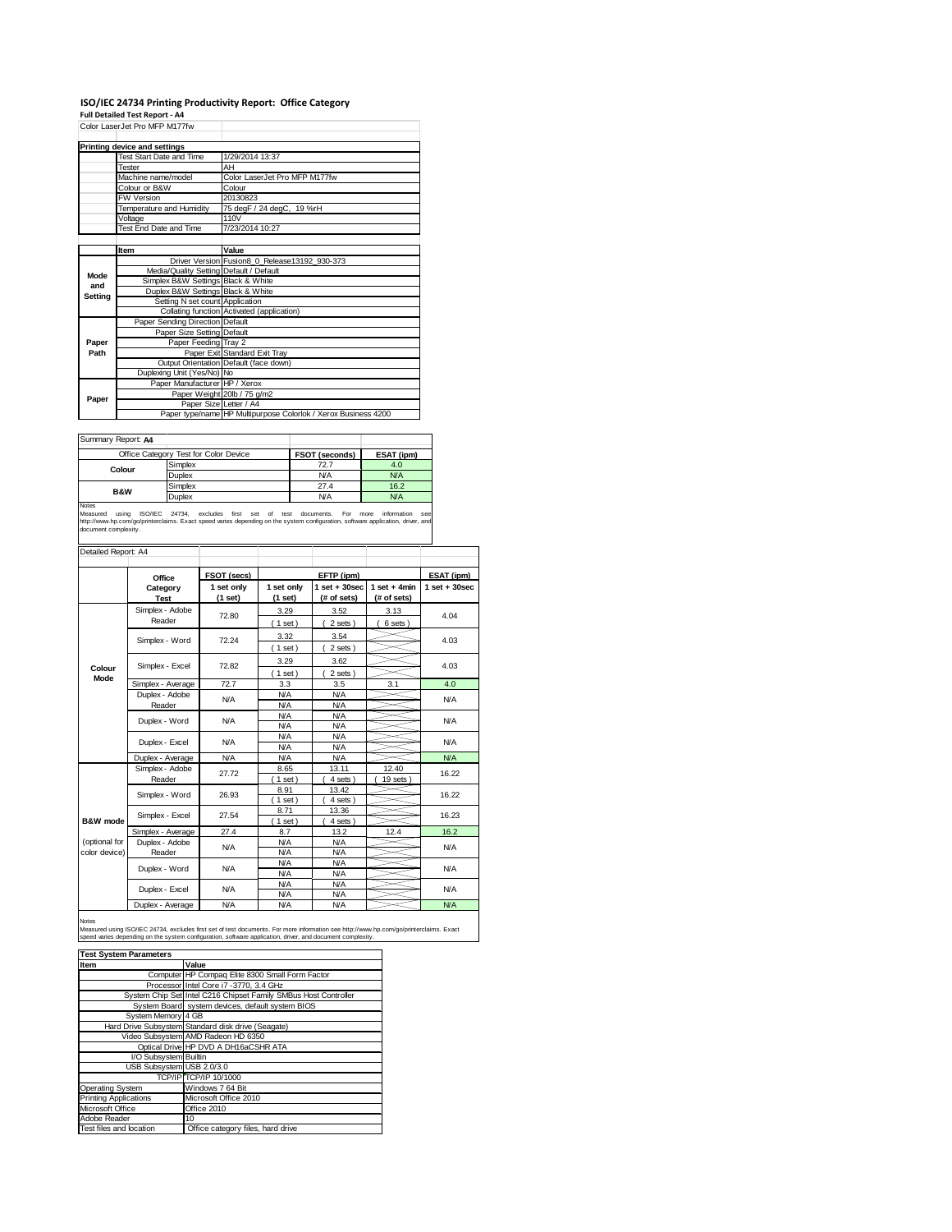## **ISO/IEC 24734 Printing Productivity Report: Office Category Full Detailed Test Report ‐ A4** Color LaserJet Pro MFP M177fw

|         | Printing device and settings            |                                                                |
|---------|-----------------------------------------|----------------------------------------------------------------|
|         | Test Start Date and Time                | 1/29/2014 13:37                                                |
|         | <b>Tester</b>                           | AH                                                             |
|         | Machine name/model                      | Color LaserJet Pro MFP M177fw                                  |
|         | Colour or B&W                           | Colour                                                         |
|         | FW Version                              | 20130823                                                       |
|         | Temperature and Humidity                | 75 degF / 24 degC, 19 %rH                                      |
|         | Voltage                                 | 110V                                                           |
|         | Test End Date and Time                  | 7/23/2014 10:27                                                |
|         |                                         |                                                                |
|         | Item                                    | Value                                                          |
|         |                                         | Driver Version Fusion8 0 Release13192 930-373                  |
| Mode    | Media/Quality Setting Default / Default |                                                                |
| and     | Simplex B&W Settings Black & White      |                                                                |
| Setting | Duplex B&W Settings Black & White       |                                                                |
|         | Setting N set count Application         |                                                                |
|         |                                         | Collating function Activated (application)                     |
|         | Paper Sending Direction Default         |                                                                |
|         | Paper Size Setting Default              |                                                                |
| Paper   | Paper Feeding Tray 2                    |                                                                |
| Path    |                                         | Paper Exit Standard Exit Tray                                  |
|         |                                         | Output Orientation Default (face down)                         |
|         | Duplexing Unit (Yes/No) No              |                                                                |
|         | Paper Manufacturer HP / Xerox           |                                                                |
| Paper   |                                         | Paper Weight 20lb / 75 g/m2                                    |
|         | Paper Size Letter / A4                  |                                                                |
|         |                                         | Paper type/name HP Multipurpose Colorlok / Xerox Business 4200 |

| Summary Report: A4 |                                       |                |            |
|--------------------|---------------------------------------|----------------|------------|
|                    | Office Category Test for Color Device | FSOT (seconds) | ESAT (ipm) |
| Colour             | Simplex                               | 72.7           | 4.0        |
|                    | Duplex                                | <b>N/A</b>     | <b>N/A</b> |
| <b>B&amp;W</b>     | Simplex                               | 27.4           | 16.2       |
|                    | Duplex                                | <b>N/A</b>     | <b>N/A</b> |
| <b>Notae</b>       |                                       |                |            |

Notes<br>Measured using ISO/IEC 24734, excludes first set of test documents. For more information see<br>http://www.hp.com/go/printerclaims. Exact\_speed\_varies\_depending.on\_the\_system\_configuration,software\_application,driver,an

| Detailed Report: A4            |                                        |                       |                          |                                |                                |                   |
|--------------------------------|----------------------------------------|-----------------------|--------------------------|--------------------------------|--------------------------------|-------------------|
|                                | Office                                 | FSOT (secs)           |                          | EFTP (ipm)                     |                                | ESAT (ipm)        |
|                                | Category<br><b>Test</b>                | 1 set only<br>(1 set) | 1 set only<br>$(1$ set)  | $1$ set + 30sec<br>(# of sets) | $1 set + 4 min$<br>(# of sets) | $1$ set $+30$ sec |
|                                | Simplex - Adobe<br>Reader              | 72.80                 | 3.29<br>$1$ set)         | 3.52<br>2 sets)                | 3.13<br>6 sets)                | 4.04              |
|                                | Simplex - Word                         | 72.24                 | 3.32<br>$1$ set)         | 3.54<br>2 sets)                |                                | 4.03              |
| Colour                         | Simplex - Excel                        | 72.82                 | 3.29<br>$1$ set)         | 3.62<br>2 sets)                |                                | 4.03              |
| Mode                           | Simplex - Average                      | 72.7                  | 3.3                      | 3.5                            | 3.1                            | 4.0               |
|                                | Duplex - Adobe<br><b>N/A</b><br>Reader |                       | <b>N/A</b><br><b>N/A</b> | <b>N/A</b><br><b>N/A</b>       |                                | <b>N/A</b>        |
|                                | Duplex - Word                          | N/A                   | <b>N/A</b><br><b>N/A</b> | <b>N/A</b><br><b>N/A</b>       |                                | <b>N/A</b>        |
|                                | Duplex - Excel                         | N/A                   | <b>N/A</b><br><b>N/A</b> | <b>N/A</b><br><b>N/A</b>       |                                | <b>N/A</b>        |
|                                | Duplex - Average                       | <b>N/A</b>            | <b>N/A</b>               | <b>N/A</b>                     |                                | <b>N/A</b>        |
|                                | Simplex - Adobe<br>Reader              | 27.72                 | 8.65<br>$1$ set)         | 13.11<br>4 sets)               | 12.40<br>19 sets               | 16.22             |
|                                | Simplex - Word                         | 26.93                 | 8.91<br>$1$ set)         | 13.42<br>4 sets                |                                | 16.22             |
| B&W mode                       | Simplex - Excel                        | 27.54                 | 8.71<br>$1$ set)         | 13.36<br>4 sets)               |                                | 16.23             |
|                                | Simplex - Average                      | 27.4                  | 8.7                      | 13.2                           | 12.4                           | 16.2              |
| (optional for<br>color device) | Duplex - Adobe<br>Reader               | N/A                   | <b>N/A</b><br><b>N/A</b> | <b>N/A</b><br><b>N/A</b>       |                                | <b>N/A</b>        |
|                                | Duplex - Word                          | <b>N/A</b>            | <b>N/A</b><br><b>N/A</b> | <b>N/A</b><br><b>N/A</b>       |                                | <b>N/A</b>        |
|                                | Duplex - Excel                         | <b>N/A</b>            | <b>N/A</b><br><b>N/A</b> | <b>N/A</b><br><b>N/A</b>       |                                | <b>N/A</b>        |
|                                | Duplex - Average                       | N/A                   | <b>N/A</b>               | <b>N/A</b>                     |                                | N/A               |

Notes

Measured using ISO/IEC 24734, excludes first set of test documents. For more information see http://www.hp.com/go/printerclaims. Exact<br>speed varies depending on the system configuration, software application, driver, and d

| <b>Test System Parameters</b> |                                                                 |  |  |  |
|-------------------------------|-----------------------------------------------------------------|--|--|--|
| Item                          | Value                                                           |  |  |  |
|                               | Computer HP Compag Elite 8300 Small Form Factor                 |  |  |  |
|                               | Processor Intel Core i7 -3770, 3.4 GHz                          |  |  |  |
|                               | System Chip Set Intel C216 Chipset Family SMBus Host Controller |  |  |  |
|                               | System Board system devices, default system BIOS                |  |  |  |
| System Memory 4 GB            |                                                                 |  |  |  |
|                               | Hard Drive Subsystem Standard disk drive (Seagate)              |  |  |  |
|                               | Video Subsystem AMD Radeon HD 6350                              |  |  |  |
|                               | Optical Drive HP DVD A DH16aCSHR ATA                            |  |  |  |
| I/O Subsystem Builtin         |                                                                 |  |  |  |
| USB Subsystem USB 2.0/3.0     |                                                                 |  |  |  |
|                               | TCP/IP TCP/IP 10/1000                                           |  |  |  |
| Operating System              | Windows 7 64 Bit                                                |  |  |  |
| <b>Printing Applications</b>  | Microsoft Office 2010                                           |  |  |  |
| Microsoft Office              | Office 2010                                                     |  |  |  |
| Adobe Reader                  | 10                                                              |  |  |  |
| Test files and location       | Office category files, hard drive                               |  |  |  |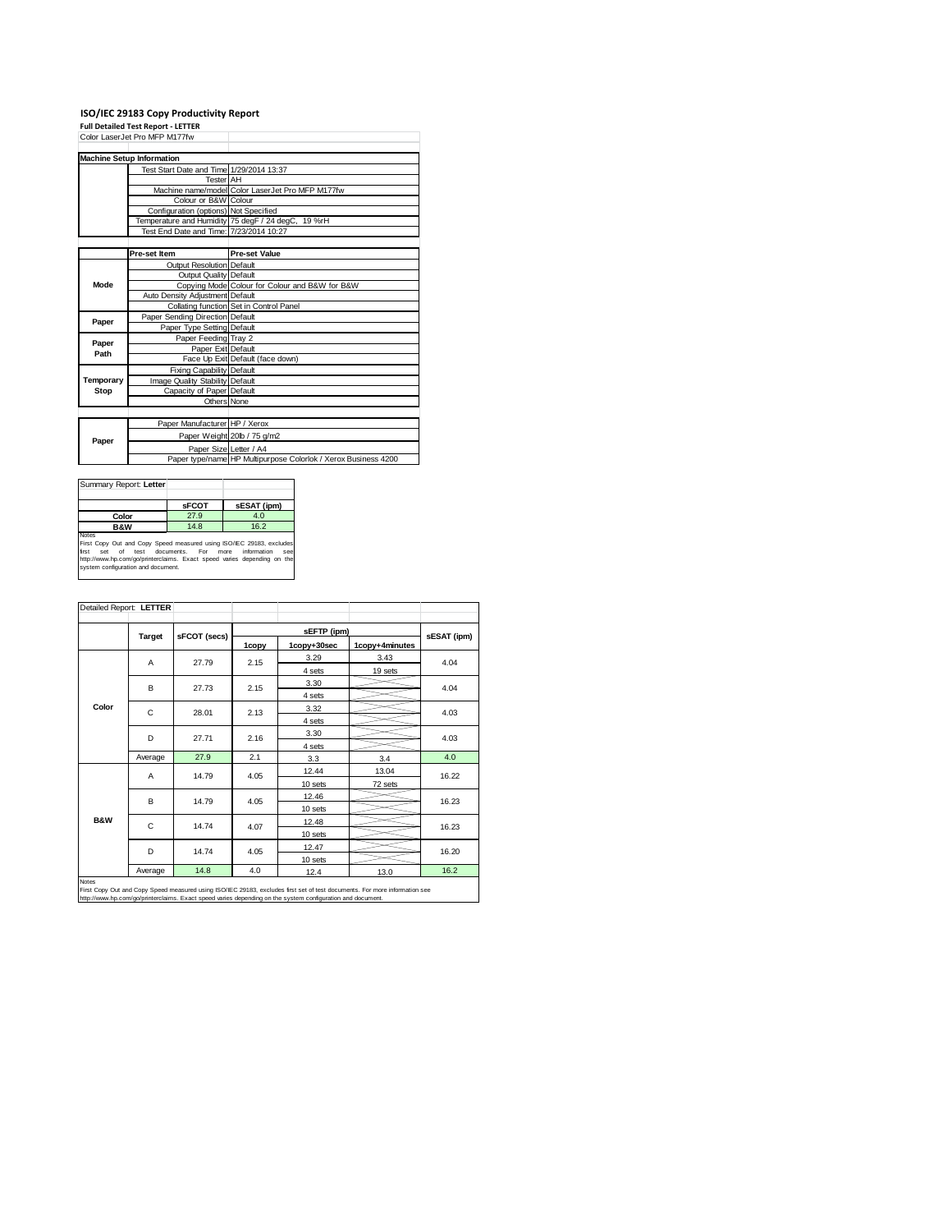## **ISO/IEC 29183 Copy Productivity Report Full Detailed Test Report ‐ LETTER** Color LaserJet Pro MFP M177fw

|           | <b>Machine Setup Information</b>         |                                                                |
|-----------|------------------------------------------|----------------------------------------------------------------|
|           | Test Start Date and Time 1/29/2014 13:37 |                                                                |
|           | <b>Tester AH</b>                         |                                                                |
|           |                                          | Machine name/model Color LaserJet Pro MFP M177fw               |
|           | Colour or B&W Colour                     |                                                                |
|           | Configuration (options) Not Specified    |                                                                |
|           |                                          | Temperature and Humidity 75 degF / 24 degC, 19 %rH             |
|           | Test End Date and Time: 7/23/2014 10:27  |                                                                |
|           |                                          |                                                                |
|           | Pre-set Item                             | <b>Pre-set Value</b>                                           |
|           | Output Resolution Default                |                                                                |
|           | Output Quality Default                   |                                                                |
| Mode      |                                          | Copying Mode Colour for Colour and B&W for B&W                 |
|           | Auto Density Adjustment Default          |                                                                |
|           |                                          | Collating function Set in Control Panel                        |
| Paper     | Paper Sending Direction Default          |                                                                |
|           | Paper Type Setting Default               |                                                                |
| Paper     | Paper Feeding Tray 2                     |                                                                |
| Path      | Paper Exit Default                       |                                                                |
|           |                                          | Face Up Exit Default (face down)                               |
|           | Fixing Capability Default                |                                                                |
| Temporary | Image Quality Stability Default          |                                                                |
| Stop      | Capacity of Paper Default                |                                                                |
|           | Others None                              |                                                                |
|           |                                          |                                                                |
|           | Paper Manufacturer HP / Xerox            |                                                                |
| Paper     |                                          | Paper Weight 20lb / 75 g/m2                                    |
|           | Paper Size Letter / A4                   |                                                                |
|           |                                          | Paper type/name HP Multipurpose Colorlok / Xerox Business 4200 |

| Summary Report: Letter                                                                                                                                                                                                                                           |              |             |  |  |
|------------------------------------------------------------------------------------------------------------------------------------------------------------------------------------------------------------------------------------------------------------------|--------------|-------------|--|--|
|                                                                                                                                                                                                                                                                  | <b>sFCOT</b> | sESAT (ipm) |  |  |
| Color                                                                                                                                                                                                                                                            | 27.9         | 4.0         |  |  |
| <b>B&amp;W</b>                                                                                                                                                                                                                                                   | 14.8         | 16.2        |  |  |
| Notes<br>First Copy Out and Copy Speed measured using ISO/IEC 29183, excludes<br>information<br>set of test documents. For more<br>first<br>see<br>http://www.hp.com/go/printerclaims. Exact speed varies depending on the<br>system configuration and document. |              |             |  |  |

|                | Detailed Report: LETTER |              |       |             |                |             |
|----------------|-------------------------|--------------|-------|-------------|----------------|-------------|
|                |                         |              |       | sEFTP (ipm) |                |             |
|                | <b>Target</b>           | sFCOT (secs) | 1copy | 1copy+30sec | 1copy+4minutes | sESAT (ipm) |
|                | A                       | 27.79        | 2.15  | 3.29        | 3.43           | 4.04        |
|                |                         |              |       | 4 sets      | 19 sets        |             |
|                | В                       | 27.73        | 2.15  | 3.30        |                | 4.04        |
|                |                         |              |       | 4 sets      |                |             |
| Color          | C                       | 28.01        | 2.13  | 3.32        |                | 4.03        |
|                |                         |              |       | 4 sets      |                |             |
|                | D                       | 27.71        | 2.16  | 3.30        |                | 4.03        |
|                |                         |              |       | 4 sets      |                |             |
|                | Average                 | 27.9         | 2.1   | 3.3         | 3.4            | 4.0         |
|                | A                       | 14.79        | 4.05  | 12.44       | 13.04          | 16.22       |
|                |                         |              |       | 10 sets     | 72 sets        |             |
|                | В                       | 14.79        | 4.05  | 12.46       |                | 16.23       |
|                |                         |              |       | 10 sets     |                |             |
| <b>B&amp;W</b> | C                       | 14.74        | 4.07  | 12.48       |                | 16.23       |
|                |                         |              |       | 10 sets     |                |             |
|                | D                       | 14.74        | 4.05  | 12.47       |                | 16.20       |
|                |                         |              |       | 10 sets     |                |             |
|                | Average                 | 14.8         | 4.0   | 12.4        | 13.0           | 16.2        |